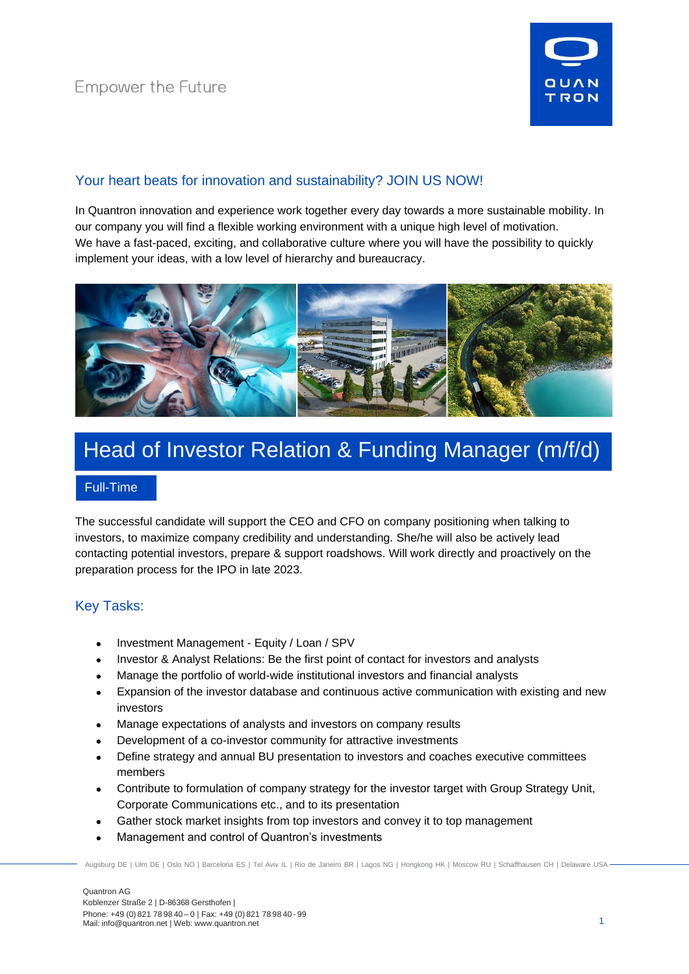

## Your heart beats for innovation and sustainability? JOIN US NOW!

In Quantron innovation and experience work together every day towards a more sustainable mobility. In our company you will find a flexible working environment with a unique high level of motivation. We have a fast-paced, exciting, and collaborative culture where you will have the possibility to quickly implement your ideas, with a low level of hierarchy and bureaucracy.



# Head of Investor Relation & Funding Manager (m/f/d)

### Full-Time

The successful candidate will support the CEO and CFO on company positioning when talking to investors, to maximize company credibility and understanding. She/he will also be actively lead contacting potential investors, prepare & support roadshows. Will work directly and proactively on the preparation process for the IPO in late 2023.

### Key Tasks:

- Investment Management Equity / Loan / SPV
- Investor & Analyst Relations: Be the first point of contact for investors and analysts
- Manage the portfolio of world-wide institutional investors and financial analysts
- Expansion of the investor database and continuous active communication with existing and new investors
- Manage expectations of analysts and investors on company results
- Development of a co-investor community for attractive investments
- Define strategy and annual BU presentation to investors and coaches executive committees members
- Contribute to formulation of company strategy for the investor target with Group Strategy Unit, Corporate Communications etc., and to its presentation
- Gather stock market insights from top investors and convey it to top management
- Management and control of Quantron's investments

Augsburg DE | Ulm DE | Oslo NO | Barcelona ES | Tel Aviv IL | Rio de Janeiro BR | Lagos NG | Hongkong HK | Moscow RU | Schaffhausen CH | Delaware USA